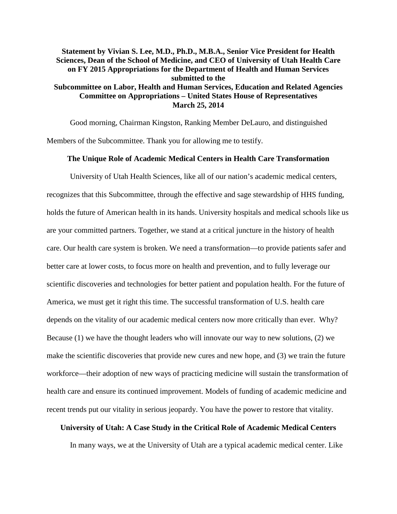# **Statement by Vivian S. Lee, M.D., Ph.D., M.B.A., Senior Vice President for Health Sciences, Dean of the School of Medicine, and CEO of University of Utah Health Care on FY 2015 Appropriations for the Department of Health and Human Services submitted to the Subcommittee on Labor, Health and Human Services, Education and Related Agencies Committee on Appropriations – United States House of Representatives March 25, 2014**

Good morning, Chairman Kingston, Ranking Member DeLauro, and distinguished Members of the Subcommittee. Thank you for allowing me to testify.

# **The Unique Role of Academic Medical Centers in Health Care Transformation**

University of Utah Health Sciences, like all of our nation's academic medical centers, recognizes that this Subcommittee, through the effective and sage stewardship of HHS funding, holds the future of American health in its hands. University hospitals and medical schools like us are your committed partners. Together, we stand at a critical juncture in the history of health care. Our health care system is broken. We need a transformation—to provide patients safer and better care at lower costs, to focus more on health and prevention, and to fully leverage our scientific discoveries and technologies for better patient and population health. For the future of America, we must get it right this time. The successful transformation of U.S. health care depends on the vitality of our academic medical centers now more critically than ever. Why? Because (1) we have the thought leaders who will innovate our way to new solutions, (2) we make the scientific discoveries that provide new cures and new hope, and (3) we train the future workforce—their adoption of new ways of practicing medicine will sustain the transformation of health care and ensure its continued improvement. Models of funding of academic medicine and recent trends put our vitality in serious jeopardy. You have the power to restore that vitality.

#### **University of Utah: A Case Study in the Critical Role of Academic Medical Centers**

In many ways, we at the University of Utah are a typical academic medical center. Like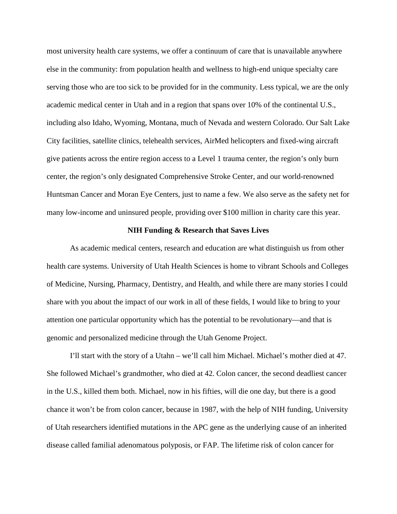most university health care systems, we offer a continuum of care that is unavailable anywhere else in the community: from population health and wellness to high-end unique specialty care serving those who are too sick to be provided for in the community. Less typical, we are the only academic medical center in Utah and in a region that spans over 10% of the continental U.S., including also Idaho, Wyoming, Montana, much of Nevada and western Colorado. Our Salt Lake City facilities, satellite clinics, telehealth services, AirMed helicopters and fixed-wing aircraft give patients across the entire region access to a Level 1 trauma center, the region's only burn center, the region's only designated Comprehensive Stroke Center, and our world-renowned Huntsman Cancer and Moran Eye Centers, just to name a few. We also serve as the safety net for many low-income and uninsured people, providing over \$100 million in charity care this year.

## **NIH Funding & Research that Saves Lives**

As academic medical centers, research and education are what distinguish us from other health care systems. University of Utah Health Sciences is home to vibrant Schools and Colleges of Medicine, Nursing, Pharmacy, Dentistry, and Health, and while there are many stories I could share with you about the impact of our work in all of these fields, I would like to bring to your attention one particular opportunity which has the potential to be revolutionary—and that is genomic and personalized medicine through the Utah Genome Project.

I'll start with the story of a Utahn – we'll call him Michael. Michael's mother died at 47. She followed Michael's grandmother, who died at 42. Colon cancer, the second deadliest cancer in the U.S., killed them both. Michael, now in his fifties, will die one day, but there is a good chance it won't be from colon cancer, because in 1987, with the help of NIH funding, University of Utah researchers identified mutations in the APC gene as the underlying cause of an inherited disease called familial adenomatous polyposis, or FAP. The lifetime risk of colon cancer for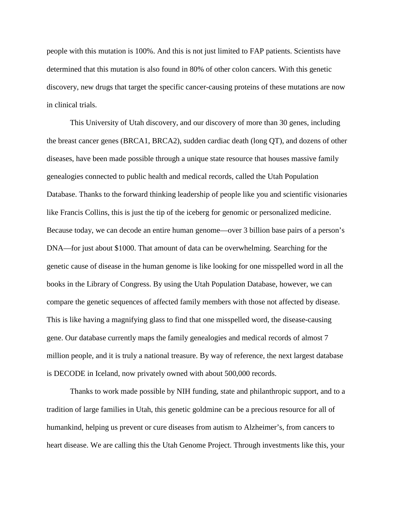people with this mutation is 100%. And this is not just limited to FAP patients. Scientists have determined that this mutation is also found in 80% of other colon cancers. With this genetic discovery, new drugs that target the specific cancer-causing proteins of these mutations are now in clinical trials.

This University of Utah discovery, and our discovery of more than 30 genes, including the breast cancer genes (BRCA1, BRCA2), sudden cardiac death (long QT), and dozens of other diseases, have been made possible through a unique state resource that houses massive family genealogies connected to public health and medical records, called the Utah Population Database. Thanks to the forward thinking leadership of people like you and scientific visionaries like Francis Collins, this is just the tip of the iceberg for genomic or personalized medicine. Because today, we can decode an entire human genome—over 3 billion base pairs of a person's DNA—for just about \$1000. That amount of data can be overwhelming. Searching for the genetic cause of disease in the human genome is like looking for one misspelled word in all the books in the Library of Congress. By using the Utah Population Database, however, we can compare the genetic sequences of affected family members with those not affected by disease. This is like having a magnifying glass to find that one misspelled word, the disease-causing gene. Our database currently maps the family genealogies and medical records of almost 7 million people, and it is truly a national treasure. By way of reference, the next largest database is DECODE in Iceland, now privately owned with about 500,000 records.

Thanks to work made possible by NIH funding, state and philanthropic support, and to a tradition of large families in Utah, this genetic goldmine can be a precious resource for all of humankind, helping us prevent or cure diseases from autism to Alzheimer's, from cancers to heart disease. We are calling this the Utah Genome Project. Through investments like this, your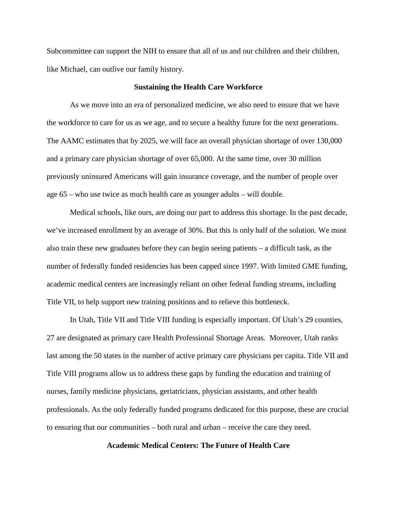Subcommittee can support the NIH to ensure that all of us and our children and their children, like Michael, can outlive our family history.

### **Sustaining the Health Care Workforce**

As we move into an era of personalized medicine, we also need to ensure that we have the workforce to care for us as we age, and to secure a healthy future for the next generations. The AAMC estimates that by 2025, we will face an overall physician shortage of over 130,000 and a primary care physician shortage of over 65,000. At the same time, over 30 million previously uninsured Americans will gain insurance coverage, and the number of people over age 65 – who use twice as much health care as younger adults – will double.

Medical schools, like ours, are doing our part to address this shortage. In the past decade, we've increased enrollment by an average of 30%. But this is only half of the solution. We must also train these new graduates before they can begin seeing patients – a difficult task, as the number of federally funded residencies has been capped since 1997. With limited GME funding, academic medical centers are increasingly reliant on other federal funding streams, including Title VII, to help support new training positions and to relieve this bottleneck.

In Utah, Title VII and Title VIII funding is especially important. Of Utah's 29 counties, 27 are designated as primary care Health Professional Shortage Areas. Moreover, Utah ranks last among the 50 states in the number of active primary care physicians per capita. Title VII and Title VIII programs allow us to address these gaps by funding the education and training of nurses, family medicine physicians, geriatricians, physician assistants, and other health professionals. As the only federally funded programs dedicated for this purpose, these are crucial to ensuring that our communities – both rural and urban – receive the care they need.

# **Academic Medical Centers: The Future of Health Care**